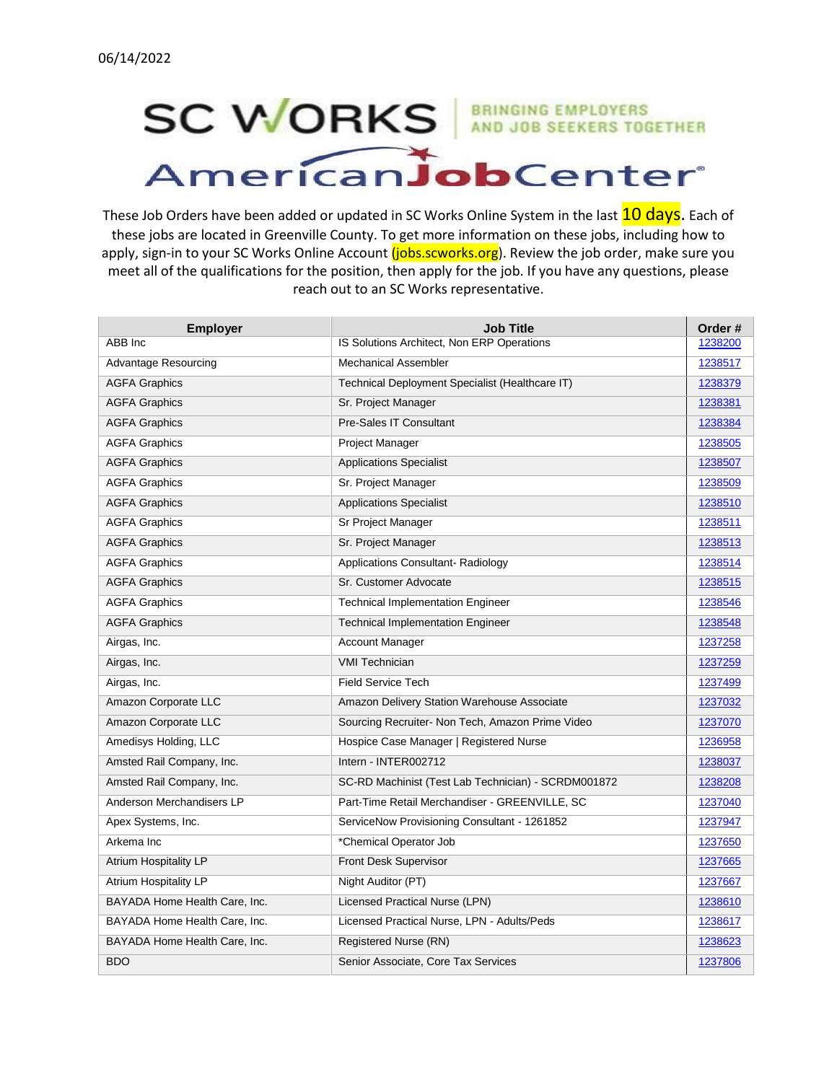## **SC WORKS** AND JOB SEEKERS TOGETHER AmericanJobCenter

These Job Orders have been added or updated in SC Works Online System in the last **10 days**. Each of these jobs are located in Greenville County. To get more information on these jobs, including how to apply, sign-in to your SC Works Online Account (jobs.scworks.org). Review the job order, make sure you meet all of the qualifications for the position, then apply for the job. If you have any questions, please reach out to an SC Works representative.

| <b>Employer</b>               | <b>Job Title</b>                                    | Order#  |
|-------------------------------|-----------------------------------------------------|---------|
| ABB Inc                       | IS Solutions Architect, Non ERP Operations          | 1238200 |
| Advantage Resourcing          | <b>Mechanical Assembler</b>                         | 1238517 |
| <b>AGFA Graphics</b>          | Technical Deployment Specialist (Healthcare IT)     | 1238379 |
| <b>AGFA Graphics</b>          | Sr. Project Manager                                 | 1238381 |
| <b>AGFA Graphics</b>          | Pre-Sales IT Consultant                             | 1238384 |
| <b>AGFA Graphics</b>          | Project Manager                                     | 1238505 |
| <b>AGFA Graphics</b>          | <b>Applications Specialist</b>                      | 1238507 |
| <b>AGFA Graphics</b>          | Sr. Project Manager                                 | 1238509 |
| <b>AGFA Graphics</b>          | <b>Applications Specialist</b>                      | 1238510 |
| <b>AGFA Graphics</b>          | Sr Project Manager                                  | 1238511 |
| <b>AGFA Graphics</b>          | Sr. Project Manager                                 | 1238513 |
| <b>AGFA Graphics</b>          | <b>Applications Consultant- Radiology</b>           | 1238514 |
| <b>AGFA Graphics</b>          | Sr. Customer Advocate                               | 1238515 |
| <b>AGFA Graphics</b>          | <b>Technical Implementation Engineer</b>            | 1238546 |
| <b>AGFA Graphics</b>          | <b>Technical Implementation Engineer</b>            | 1238548 |
| Airgas, Inc.                  | <b>Account Manager</b>                              | 1237258 |
| Airgas, Inc.                  | <b>VMI Technician</b>                               | 1237259 |
| Airgas, Inc.                  | <b>Field Service Tech</b>                           | 1237499 |
| Amazon Corporate LLC          | Amazon Delivery Station Warehouse Associate         | 1237032 |
| Amazon Corporate LLC          | Sourcing Recruiter- Non Tech, Amazon Prime Video    | 1237070 |
| Amedisys Holding, LLC         | Hospice Case Manager   Registered Nurse             | 1236958 |
| Amsted Rail Company, Inc.     | Intern - INTER002712                                | 1238037 |
| Amsted Rail Company, Inc.     | SC-RD Machinist (Test Lab Technician) - SCRDM001872 | 1238208 |
| Anderson Merchandisers LP     | Part-Time Retail Merchandiser - GREENVILLE, SC      | 1237040 |
| Apex Systems, Inc.            | ServiceNow Provisioning Consultant - 1261852        | 1237947 |
| Arkema Inc                    | *Chemical Operator Job                              | 1237650 |
| <b>Atrium Hospitality LP</b>  | Front Desk Supervisor                               | 1237665 |
| Atrium Hospitality LP         | Night Auditor (PT)                                  | 1237667 |
| BAYADA Home Health Care, Inc. | <b>Licensed Practical Nurse (LPN)</b>               | 1238610 |
| BAYADA Home Health Care, Inc. | Licensed Practical Nurse, LPN - Adults/Peds         | 1238617 |
| BAYADA Home Health Care, Inc. | Registered Nurse (RN)                               | 1238623 |
| <b>BDO</b>                    | Senior Associate, Core Tax Services                 | 1237806 |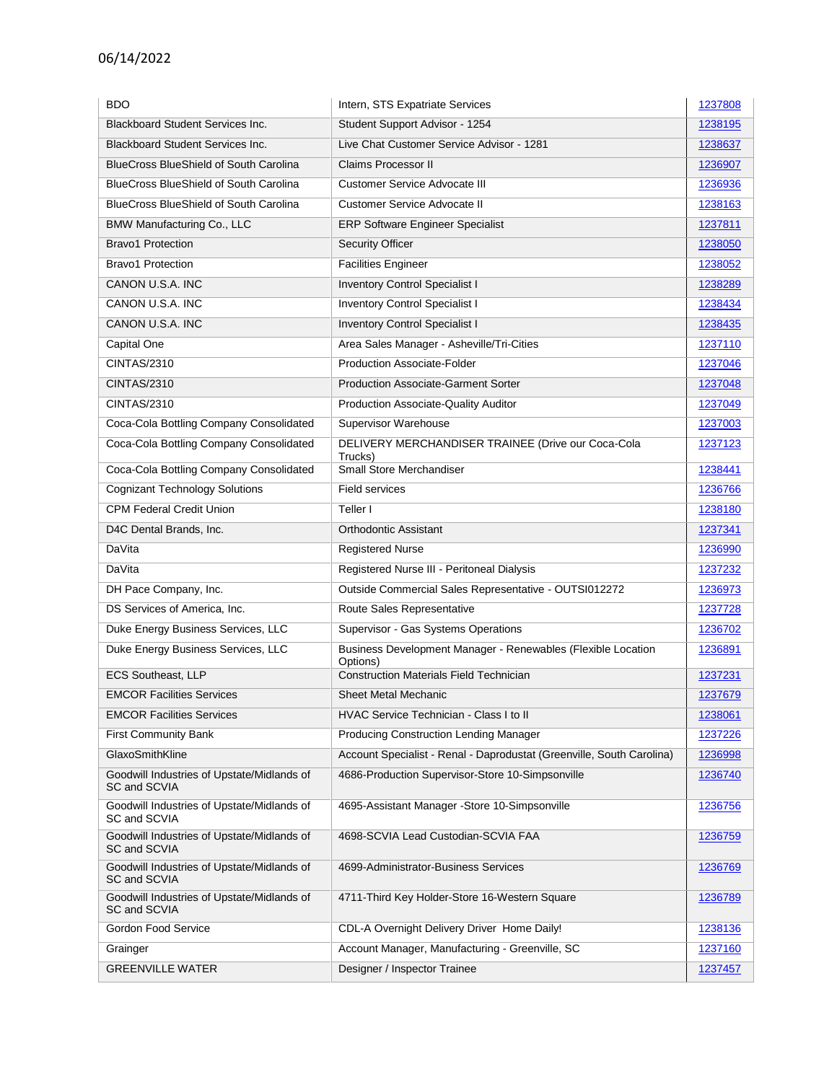| <b>BDO</b>                                                 | Intern, STS Expatriate Services                                          | 1237808 |
|------------------------------------------------------------|--------------------------------------------------------------------------|---------|
| <b>Blackboard Student Services Inc.</b>                    | Student Support Advisor - 1254                                           | 1238195 |
| <b>Blackboard Student Services Inc.</b>                    | Live Chat Customer Service Advisor - 1281                                | 1238637 |
| <b>BlueCross BlueShield of South Carolina</b>              | Claims Processor II                                                      | 1236907 |
| <b>BlueCross BlueShield of South Carolina</b>              | Customer Service Advocate III                                            | 1236936 |
| <b>BlueCross BlueShield of South Carolina</b>              | <b>Customer Service Advocate II</b>                                      | 1238163 |
| BMW Manufacturing Co., LLC                                 | <b>ERP Software Engineer Specialist</b>                                  | 1237811 |
| <b>Bravo1 Protection</b>                                   | <b>Security Officer</b>                                                  | 1238050 |
| <b>Bravo1 Protection</b>                                   | <b>Facilities Engineer</b>                                               | 1238052 |
| CANON U.S.A. INC                                           | <b>Inventory Control Specialist I</b>                                    | 1238289 |
| CANON U.S.A. INC                                           | <b>Inventory Control Specialist I</b>                                    | 1238434 |
| CANON U.S.A. INC                                           | <b>Inventory Control Specialist I</b>                                    | 1238435 |
| Capital One                                                | Area Sales Manager - Asheville/Tri-Cities                                | 1237110 |
| <b>CINTAS/2310</b>                                         | <b>Production Associate-Folder</b>                                       | 1237046 |
| <b>CINTAS/2310</b>                                         | <b>Production Associate-Garment Sorter</b>                               | 1237048 |
| <b>CINTAS/2310</b>                                         | Production Associate-Quality Auditor                                     | 1237049 |
| Coca-Cola Bottling Company Consolidated                    | <b>Supervisor Warehouse</b>                                              | 1237003 |
| Coca-Cola Bottling Company Consolidated                    | DELIVERY MERCHANDISER TRAINEE (Drive our Coca-Cola<br>Trucks)            | 1237123 |
| Coca-Cola Bottling Company Consolidated                    | Small Store Merchandiser                                                 | 1238441 |
| <b>Cognizant Technology Solutions</b>                      | <b>Field services</b>                                                    | 1236766 |
| <b>CPM Federal Credit Union</b>                            | Teller I                                                                 | 1238180 |
| D4C Dental Brands, Inc.                                    | <b>Orthodontic Assistant</b>                                             | 1237341 |
| DaVita                                                     | <b>Registered Nurse</b>                                                  | 1236990 |
| DaVita                                                     | Registered Nurse III - Peritoneal Dialysis                               | 1237232 |
| DH Pace Company, Inc.                                      | Outside Commercial Sales Representative - OUTSI012272                    | 1236973 |
| DS Services of America, Inc.                               | Route Sales Representative                                               | 1237728 |
| Duke Energy Business Services, LLC                         | Supervisor - Gas Systems Operations                                      | 1236702 |
| Duke Energy Business Services, LLC                         | Business Development Manager - Renewables (Flexible Location<br>Options) | 1236891 |
| <b>ECS Southeast, LLP</b>                                  | <b>Construction Materials Field Technician</b>                           | 1237231 |
| <b>EMCOR Facilities Services</b>                           | <b>Sheet Metal Mechanic</b>                                              | 1237679 |
| <b>EMCOR Facilities Services</b>                           | HVAC Service Technician - Class I to II                                  | 1238061 |
| <b>First Community Bank</b>                                | Producing Construction Lending Manager                                   | 1237226 |
| GlaxoSmithKline                                            | Account Specialist - Renal - Daprodustat (Greenville, South Carolina)    | 1236998 |
| Goodwill Industries of Upstate/Midlands of<br>SC and SCVIA | 4686-Production Supervisor-Store 10-Simpsonville                         | 1236740 |
| Goodwill Industries of Upstate/Midlands of<br>SC and SCVIA | 4695-Assistant Manager -Store 10-Simpsonville                            | 1236756 |
| Goodwill Industries of Upstate/Midlands of<br>SC and SCVIA | 4698-SCVIA Lead Custodian-SCVIA FAA                                      | 1236759 |
| Goodwill Industries of Upstate/Midlands of<br>SC and SCVIA | 4699-Administrator-Business Services                                     | 1236769 |
| Goodwill Industries of Upstate/Midlands of<br>SC and SCVIA | 4711-Third Key Holder-Store 16-Western Square                            | 1236789 |
| Gordon Food Service                                        | CDL-A Overnight Delivery Driver Home Daily!                              | 1238136 |
| Grainger                                                   | Account Manager, Manufacturing - Greenville, SC                          | 1237160 |
| <b>GREENVILLE WATER</b>                                    | Designer / Inspector Trainee                                             | 1237457 |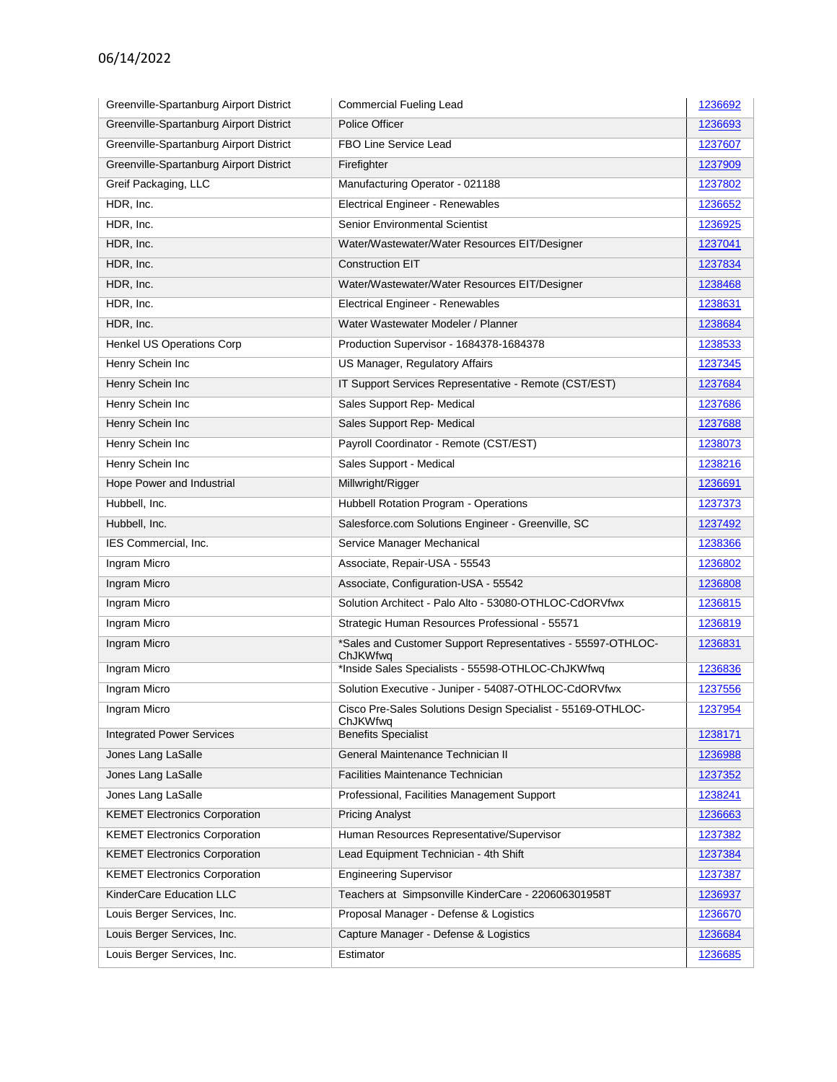| Greenville-Spartanburg Airport District | <b>Commercial Fueling Lead</b>                                          | 1236692 |
|-----------------------------------------|-------------------------------------------------------------------------|---------|
| Greenville-Spartanburg Airport District | Police Officer                                                          | 1236693 |
| Greenville-Spartanburg Airport District | FBO Line Service Lead                                                   | 1237607 |
| Greenville-Spartanburg Airport District | Firefighter                                                             | 1237909 |
| Greif Packaging, LLC                    | Manufacturing Operator - 021188                                         | 1237802 |
| HDR, Inc.                               | Electrical Engineer - Renewables                                        | 1236652 |
| HDR, Inc.                               | <b>Senior Environmental Scientist</b>                                   | 1236925 |
| HDR, Inc.                               | Water/Wastewater/Water Resources EIT/Designer                           | 1237041 |
| HDR, Inc.                               | <b>Construction EIT</b>                                                 | 1237834 |
| HDR, Inc.                               | Water/Wastewater/Water Resources EIT/Designer                           | 1238468 |
| HDR, Inc.                               | Electrical Engineer - Renewables                                        | 1238631 |
| HDR, Inc.                               | Water Wastewater Modeler / Planner                                      | 1238684 |
| Henkel US Operations Corp               | Production Supervisor - 1684378-1684378                                 | 1238533 |
| Henry Schein Inc                        | US Manager, Regulatory Affairs                                          | 1237345 |
| Henry Schein Inc                        | IT Support Services Representative - Remote (CST/EST)                   | 1237684 |
| Henry Schein Inc                        | Sales Support Rep-Medical                                               | 1237686 |
| Henry Schein Inc                        | Sales Support Rep- Medical                                              | 1237688 |
| Henry Schein Inc                        | Payroll Coordinator - Remote (CST/EST)                                  | 1238073 |
| Henry Schein Inc                        | Sales Support - Medical                                                 | 1238216 |
| Hope Power and Industrial               | Millwright/Rigger                                                       | 1236691 |
| Hubbell, Inc.                           | Hubbell Rotation Program - Operations                                   | 1237373 |
| Hubbell, Inc.                           | Salesforce.com Solutions Engineer - Greenville, SC                      | 1237492 |
| IES Commercial, Inc.                    | Service Manager Mechanical                                              | 1238366 |
| Ingram Micro                            | Associate, Repair-USA - 55543                                           | 1236802 |
| Ingram Micro                            | Associate, Configuration-USA - 55542                                    | 1236808 |
| Ingram Micro                            | Solution Architect - Palo Alto - 53080-OTHLOC-CdORVfwx                  | 1236815 |
| Ingram Micro                            | Strategic Human Resources Professional - 55571                          | 1236819 |
| Ingram Micro                            | *Sales and Customer Support Representatives - 55597-OTHLOC-<br>ChJKWfwq | 1236831 |
| Ingram Micro                            | *Inside Sales Specialists - 55598-OTHLOC-ChJKWfwq                       | 1236836 |
| Ingram Micro                            | Solution Executive - Juniper - 54087-OTHLOC-CdORVfwx                    | 1237556 |
| Ingram Micro                            | Cisco Pre-Sales Solutions Design Specialist - 55169-OTHLOC-<br>ChJKWfwq | 1237954 |
| <b>Integrated Power Services</b>        | <b>Benefits Specialist</b>                                              | 1238171 |
| Jones Lang LaSalle                      | General Maintenance Technician II                                       | 1236988 |
| Jones Lang LaSalle                      | Facilities Maintenance Technician                                       | 1237352 |
| Jones Lang LaSalle                      | Professional, Facilities Management Support                             | 1238241 |
| <b>KEMET Electronics Corporation</b>    | <b>Pricing Analyst</b>                                                  | 1236663 |
| <b>KEMET Electronics Corporation</b>    | Human Resources Representative/Supervisor                               | 1237382 |
| <b>KEMET Electronics Corporation</b>    | Lead Equipment Technician - 4th Shift                                   | 1237384 |
| <b>KEMET Electronics Corporation</b>    | <b>Engineering Supervisor</b>                                           | 1237387 |
| KinderCare Education LLC                | Teachers at Simpsonville KinderCare - 220606301958T                     | 1236937 |
| Louis Berger Services, Inc.             | Proposal Manager - Defense & Logistics                                  | 1236670 |
| Louis Berger Services, Inc.             | Capture Manager - Defense & Logistics                                   | 1236684 |
| Louis Berger Services, Inc.             | Estimator                                                               | 1236685 |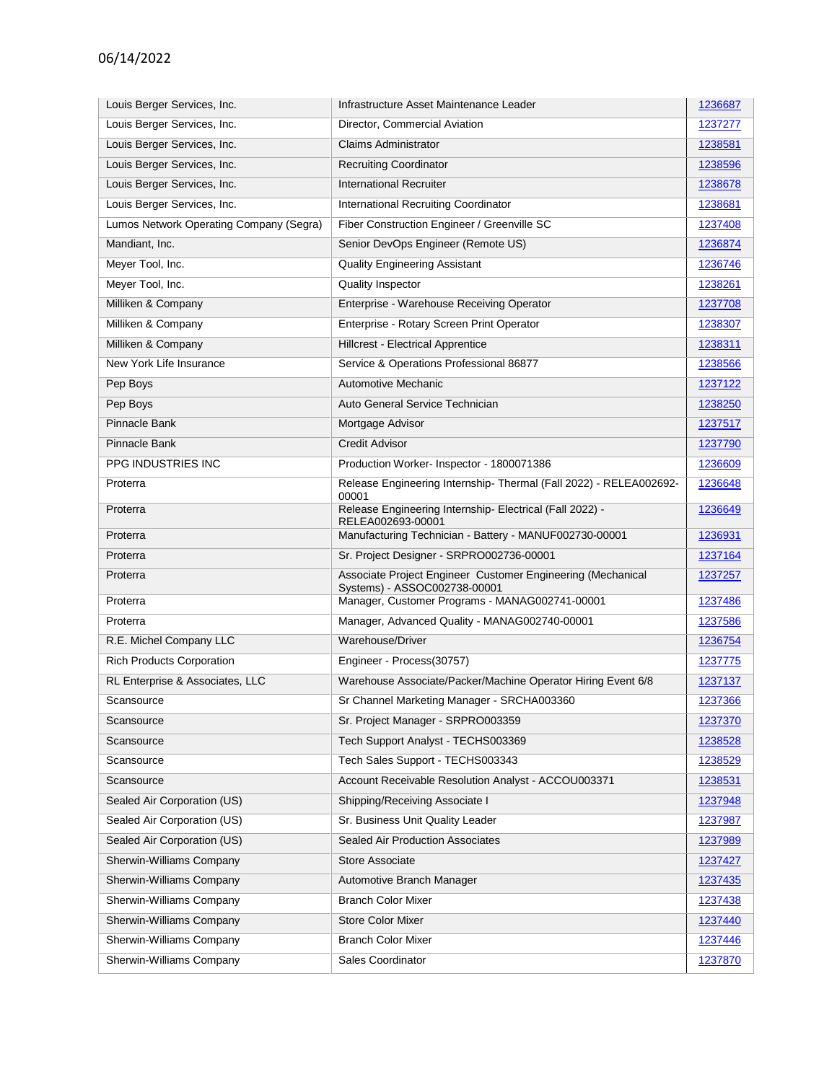| Louis Berger Services, Inc.             | Infrastructure Asset Maintenance Leader                                                     | 1236687 |
|-----------------------------------------|---------------------------------------------------------------------------------------------|---------|
| Louis Berger Services, Inc.             | Director, Commercial Aviation                                                               | 1237277 |
| Louis Berger Services, Inc.             | <b>Claims Administrator</b>                                                                 | 1238581 |
| Louis Berger Services, Inc.             | <b>Recruiting Coordinator</b>                                                               | 1238596 |
| Louis Berger Services, Inc.             | <b>International Recruiter</b>                                                              | 1238678 |
| Louis Berger Services, Inc.             | <b>International Recruiting Coordinator</b>                                                 | 1238681 |
| Lumos Network Operating Company (Segra) | Fiber Construction Engineer / Greenville SC                                                 | 1237408 |
| Mandiant, Inc.                          | Senior DevOps Engineer (Remote US)                                                          | 1236874 |
| Meyer Tool, Inc.                        | <b>Quality Engineering Assistant</b>                                                        | 1236746 |
| Meyer Tool, Inc.                        | Quality Inspector                                                                           | 1238261 |
| Milliken & Company                      | Enterprise - Warehouse Receiving Operator                                                   | 1237708 |
| Milliken & Company                      | Enterprise - Rotary Screen Print Operator                                                   | 1238307 |
| Milliken & Company                      | Hillcrest - Electrical Apprentice                                                           | 1238311 |
| New York Life Insurance                 | Service & Operations Professional 86877                                                     | 1238566 |
| Pep Boys                                | Automotive Mechanic                                                                         | 1237122 |
| Pep Boys                                | Auto General Service Technician                                                             | 1238250 |
| Pinnacle Bank                           | Mortgage Advisor                                                                            | 1237517 |
| Pinnacle Bank                           | <b>Credit Advisor</b>                                                                       | 1237790 |
| PPG INDUSTRIES INC                      | Production Worker- Inspector - 1800071386                                                   | 1236609 |
| Proterra                                | Release Engineering Internship- Thermal (Fall 2022) - RELEA002692-<br>00001                 | 1236648 |
| Proterra                                | Release Engineering Internship- Electrical (Fall 2022) -<br>RELEA002693-00001               | 1236649 |
| Proterra                                | Manufacturing Technician - Battery - MANUF002730-00001                                      | 1236931 |
| Proterra                                | Sr. Project Designer - SRPRO002736-00001                                                    | 1237164 |
| Proterra                                | Associate Project Engineer Customer Engineering (Mechanical<br>Systems) - ASSOC002738-00001 | 1237257 |
| Proterra                                | Manager, Customer Programs - MANAG002741-00001                                              | 1237486 |
| Proterra                                | Manager, Advanced Quality - MANAG002740-00001                                               | 1237586 |
| R.E. Michel Company LLC                 | Warehouse/Driver                                                                            | 1236754 |
| <b>Rich Products Corporation</b>        | Engineer - Process(30757)                                                                   | 1237775 |
| RL Enterprise & Associates, LLC         | Warehouse Associate/Packer/Machine Operator Hiring Event 6/8                                | 1237137 |
| Scansource                              | Sr Channel Marketing Manager - SRCHA003360                                                  | 1237366 |
| Scansource                              | Sr. Project Manager - SRPRO003359                                                           | 1237370 |
| Scansource                              | Tech Support Analyst - TECHS003369                                                          | 1238528 |
| Scansource                              | Tech Sales Support - TECHS003343                                                            | 1238529 |
| Scansource                              | Account Receivable Resolution Analyst - ACCOU003371                                         | 1238531 |
| Sealed Air Corporation (US)             | Shipping/Receiving Associate I                                                              | 1237948 |
| Sealed Air Corporation (US)             | Sr. Business Unit Quality Leader                                                            | 1237987 |
| Sealed Air Corporation (US)             | <b>Sealed Air Production Associates</b>                                                     | 1237989 |
| Sherwin-Williams Company                | Store Associate                                                                             | 1237427 |
| Sherwin-Williams Company                | Automotive Branch Manager                                                                   | 1237435 |
| Sherwin-Williams Company                | <b>Branch Color Mixer</b>                                                                   | 1237438 |
| Sherwin-Williams Company                | <b>Store Color Mixer</b>                                                                    | 1237440 |
| Sherwin-Williams Company                | <b>Branch Color Mixer</b>                                                                   | 1237446 |
| Sherwin-Williams Company                | Sales Coordinator                                                                           | 1237870 |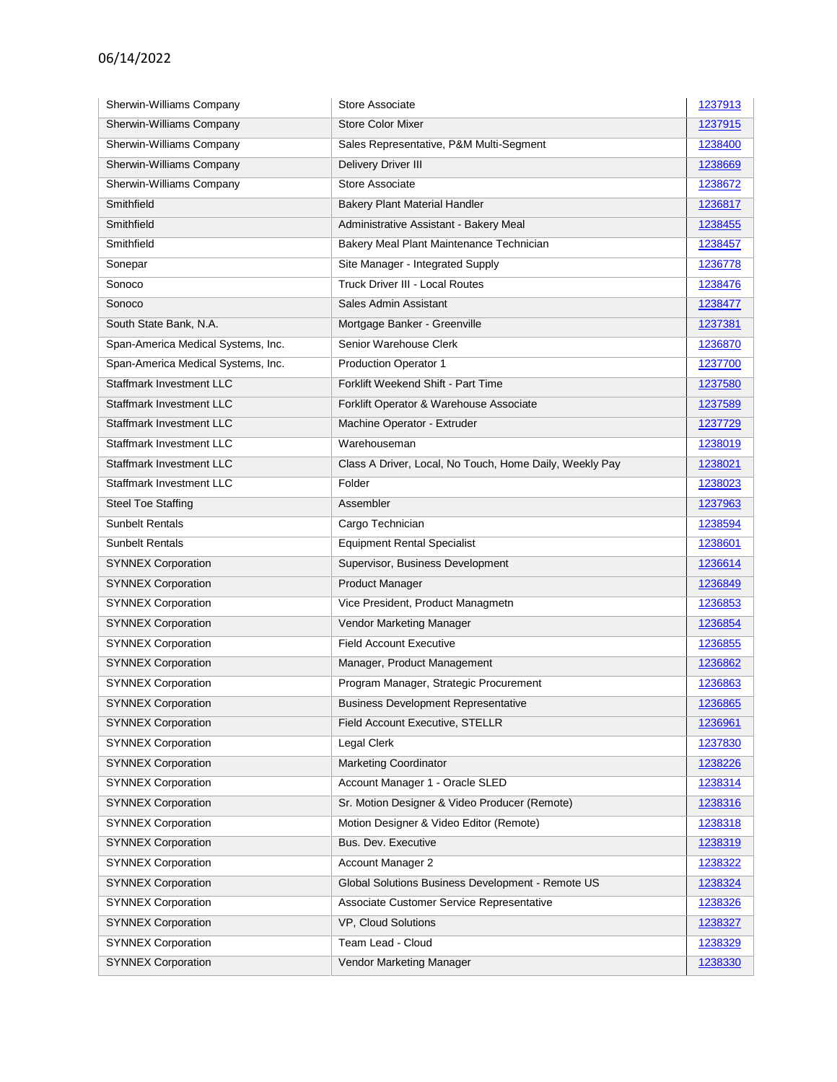| Sherwin-Williams Company           | Store Associate                                         | 1237913 |
|------------------------------------|---------------------------------------------------------|---------|
| Sherwin-Williams Company           | <b>Store Color Mixer</b>                                | 1237915 |
| Sherwin-Williams Company           | Sales Representative, P&M Multi-Segment                 | 1238400 |
| Sherwin-Williams Company           | <b>Delivery Driver III</b>                              | 1238669 |
| Sherwin-Williams Company           | Store Associate                                         | 1238672 |
| Smithfield                         | <b>Bakery Plant Material Handler</b>                    | 1236817 |
| Smithfield                         | Administrative Assistant - Bakery Meal                  | 1238455 |
| Smithfield                         | Bakery Meal Plant Maintenance Technician                | 1238457 |
| Sonepar                            | Site Manager - Integrated Supply                        | 1236778 |
| Sonoco                             | <b>Truck Driver III - Local Routes</b>                  | 1238476 |
| Sonoco                             | Sales Admin Assistant                                   | 1238477 |
| South State Bank, N.A.             | Mortgage Banker - Greenville                            | 1237381 |
| Span-America Medical Systems, Inc. | Senior Warehouse Clerk                                  | 1236870 |
| Span-America Medical Systems, Inc. | <b>Production Operator 1</b>                            | 1237700 |
| <b>Staffmark Investment LLC</b>    | Forklift Weekend Shift - Part Time                      | 1237580 |
| Staffmark Investment LLC           | Forklift Operator & Warehouse Associate                 | 1237589 |
| Staffmark Investment LLC           | Machine Operator - Extruder                             | 1237729 |
| Staffmark Investment LLC           | Warehouseman                                            | 1238019 |
| <b>Staffmark Investment LLC</b>    | Class A Driver, Local, No Touch, Home Daily, Weekly Pay | 1238021 |
| Staffmark Investment LLC           | Folder                                                  | 1238023 |
| <b>Steel Toe Staffing</b>          | Assembler                                               | 1237963 |
| <b>Sunbelt Rentals</b>             | Cargo Technician                                        | 1238594 |
| <b>Sunbelt Rentals</b>             | <b>Equipment Rental Specialist</b>                      | 1238601 |
| <b>SYNNEX Corporation</b>          | Supervisor, Business Development                        | 1236614 |
| <b>SYNNEX Corporation</b>          | <b>Product Manager</b>                                  | 1236849 |
| <b>SYNNEX Corporation</b>          | Vice President, Product Managmetn                       | 1236853 |
| <b>SYNNEX Corporation</b>          | Vendor Marketing Manager                                | 1236854 |
| <b>SYNNEX Corporation</b>          | <b>Field Account Executive</b>                          | 1236855 |
| <b>SYNNEX Corporation</b>          | Manager, Product Management                             | 1236862 |
| <b>SYNNEX Corporation</b>          | Program Manager, Strategic Procurement                  | 1236863 |
| <b>SYNNEX Corporation</b>          | <b>Business Development Representative</b>              | 1236865 |
| <b>SYNNEX Corporation</b>          | Field Account Executive, STELLR                         | 1236961 |
| <b>SYNNEX Corporation</b>          | Legal Clerk                                             | 1237830 |
| <b>SYNNEX Corporation</b>          | <b>Marketing Coordinator</b>                            | 1238226 |
| <b>SYNNEX Corporation</b>          | Account Manager 1 - Oracle SLED                         | 1238314 |
| <b>SYNNEX Corporation</b>          | Sr. Motion Designer & Video Producer (Remote)           | 1238316 |
| <b>SYNNEX Corporation</b>          | Motion Designer & Video Editor (Remote)                 | 1238318 |
| <b>SYNNEX Corporation</b>          | Bus. Dev. Executive                                     | 1238319 |
| <b>SYNNEX Corporation</b>          | Account Manager 2                                       | 1238322 |
| <b>SYNNEX Corporation</b>          | Global Solutions Business Development - Remote US       | 1238324 |
| <b>SYNNEX Corporation</b>          | Associate Customer Service Representative               | 1238326 |
| <b>SYNNEX Corporation</b>          | VP, Cloud Solutions                                     | 1238327 |
| <b>SYNNEX Corporation</b>          | Team Lead - Cloud                                       | 1238329 |
| <b>SYNNEX Corporation</b>          | Vendor Marketing Manager                                | 1238330 |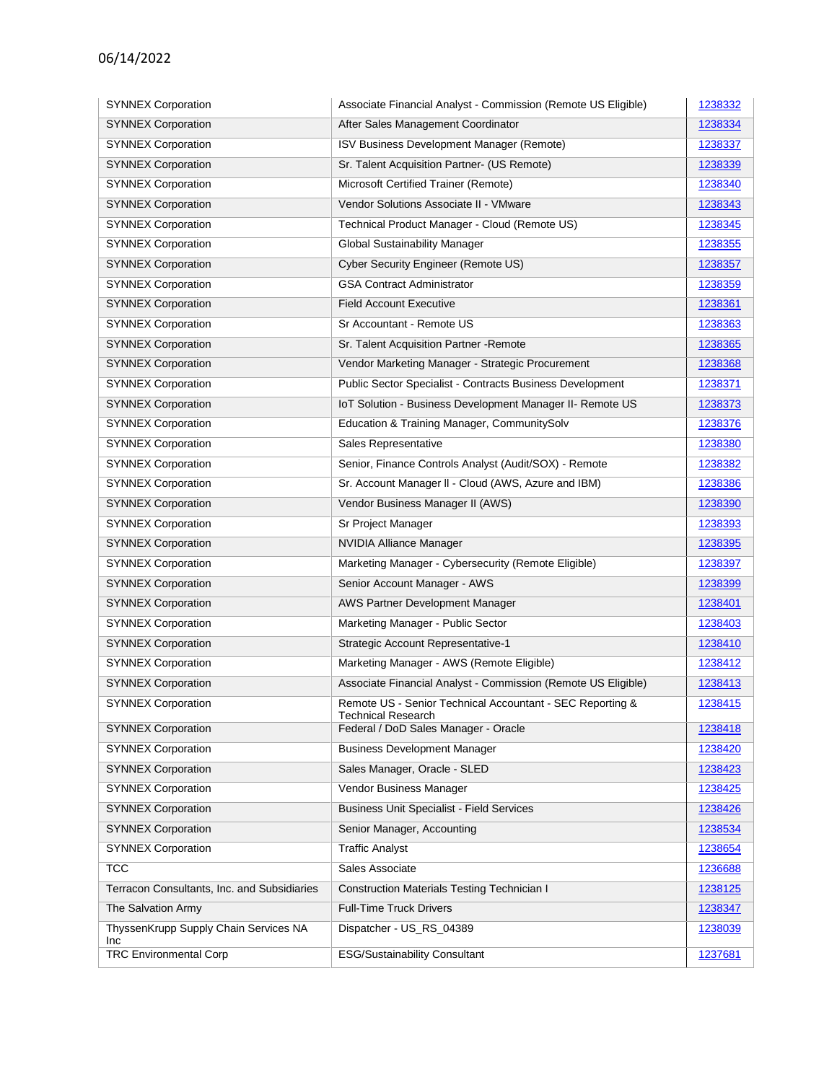| <b>SYNNEX Corporation</b>                    | Associate Financial Analyst - Commission (Remote US Eligible)     | 1238332 |
|----------------------------------------------|-------------------------------------------------------------------|---------|
| <b>SYNNEX Corporation</b>                    | After Sales Management Coordinator                                | 1238334 |
| <b>SYNNEX Corporation</b>                    | <b>ISV Business Development Manager (Remote)</b>                  | 1238337 |
| <b>SYNNEX Corporation</b>                    | Sr. Talent Acquisition Partner- (US Remote)                       | 1238339 |
| <b>SYNNEX Corporation</b>                    | Microsoft Certified Trainer (Remote)                              | 1238340 |
| <b>SYNNEX Corporation</b>                    | Vendor Solutions Associate II - VMware                            | 1238343 |
| <b>SYNNEX Corporation</b>                    | Technical Product Manager - Cloud (Remote US)                     | 1238345 |
| <b>SYNNEX Corporation</b>                    | Global Sustainability Manager                                     | 1238355 |
| <b>SYNNEX Corporation</b>                    | Cyber Security Engineer (Remote US)                               | 1238357 |
| <b>SYNNEX Corporation</b>                    | <b>GSA Contract Administrator</b>                                 | 1238359 |
| <b>SYNNEX Corporation</b>                    | <b>Field Account Executive</b>                                    | 1238361 |
| <b>SYNNEX Corporation</b>                    | Sr Accountant - Remote US                                         | 1238363 |
| <b>SYNNEX Corporation</b>                    | Sr. Talent Acquisition Partner - Remote                           | 1238365 |
| <b>SYNNEX Corporation</b>                    | Vendor Marketing Manager - Strategic Procurement                  | 1238368 |
| <b>SYNNEX Corporation</b>                    | Public Sector Specialist - Contracts Business Development         | 1238371 |
| <b>SYNNEX Corporation</b>                    | IoT Solution - Business Development Manager II- Remote US         | 1238373 |
| <b>SYNNEX Corporation</b>                    | Education & Training Manager, CommunitySolv                       | 1238376 |
| <b>SYNNEX Corporation</b>                    | Sales Representative                                              | 1238380 |
| <b>SYNNEX Corporation</b>                    | Senior, Finance Controls Analyst (Audit/SOX) - Remote             | 1238382 |
| <b>SYNNEX Corporation</b>                    | Sr. Account Manager II - Cloud (AWS, Azure and IBM)               | 1238386 |
| <b>SYNNEX Corporation</b>                    | Vendor Business Manager II (AWS)                                  | 1238390 |
| <b>SYNNEX Corporation</b>                    | Sr Project Manager                                                | 1238393 |
| <b>SYNNEX Corporation</b>                    | <b>NVIDIA Alliance Manager</b>                                    | 1238395 |
| <b>SYNNEX Corporation</b>                    | Marketing Manager - Cybersecurity (Remote Eligible)               | 1238397 |
| <b>SYNNEX Corporation</b>                    | Senior Account Manager - AWS                                      | 1238399 |
| <b>SYNNEX Corporation</b>                    | AWS Partner Development Manager                                   | 1238401 |
| <b>SYNNEX Corporation</b>                    | Marketing Manager - Public Sector                                 | 1238403 |
| <b>SYNNEX Corporation</b>                    | <b>Strategic Account Representative-1</b>                         | 1238410 |
| <b>SYNNEX Corporation</b>                    | Marketing Manager - AWS (Remote Eligible)                         | 1238412 |
| <b>SYNNEX Corporation</b>                    | Associate Financial Analyst - Commission (Remote US Eligible)     | 1238413 |
| <b>SYNNEX Corporation</b>                    | Remote US - Senior Technical Accountant - SEC Reporting &         | 1238415 |
| <b>SYNNEX Corporation</b>                    | <b>Technical Research</b><br>Federal / DoD Sales Manager - Oracle | 1238418 |
| <b>SYNNEX Corporation</b>                    | <b>Business Development Manager</b>                               | 1238420 |
| <b>SYNNEX Corporation</b>                    | Sales Manager, Oracle - SLED                                      | 1238423 |
| <b>SYNNEX Corporation</b>                    | Vendor Business Manager                                           | 1238425 |
| <b>SYNNEX Corporation</b>                    | <b>Business Unit Specialist - Field Services</b>                  | 1238426 |
| <b>SYNNEX Corporation</b>                    | Senior Manager, Accounting                                        | 1238534 |
| <b>SYNNEX Corporation</b>                    | <b>Traffic Analyst</b>                                            | 1238654 |
| <b>TCC</b>                                   | Sales Associate                                                   | 1236688 |
| Terracon Consultants, Inc. and Subsidiaries  | <b>Construction Materials Testing Technician I</b>                | 1238125 |
| The Salvation Army                           | <b>Full-Time Truck Drivers</b>                                    | 1238347 |
| ThyssenKrupp Supply Chain Services NA<br>Inc | Dispatcher - US_RS_04389                                          | 1238039 |
| <b>TRC Environmental Corp</b>                | <b>ESG/Sustainability Consultant</b>                              | 1237681 |